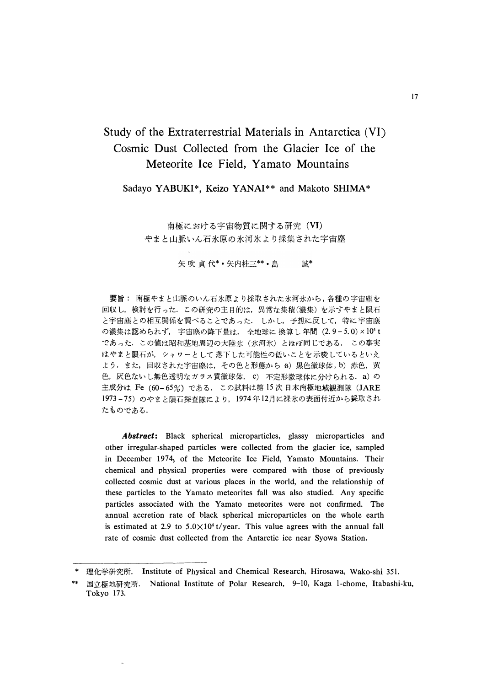# Study of the Extraterrestrial Materials in Antarctica (VI) Cosmic Dust Collected from the Glacier Ice of the Meteorite Ice Field, Yamato Mountains

Sadayo YABUKI\*, Keizo YANAI\*\* and Makoto SHIMA\*

南極における宇宙物質に関する研究 (VI) やまと山脈いん石氷原の氷河氷より採集された宇宙塵

> 矢吹貞代\*•矢内桂三\*\*•島 誠\*

要旨: 南極やまと山脈のいん石氷原より採取された氷河氷から、各種の宇宙塵を 回収し、検討を行った. この研究の主目的は、異常な集積(濃集)を示すやまと隕石 と宇宙塵との相互関係を調べることであった。 しかし、予想に反して、特に宇宙塵 の濃集は認められず, 宇宙塵の降下量は, 全地球に 換算し 年間 (2.9-5.0)×10 t であった. この値は昭和基地周辺の大陸氷 (氷河氷) とほぼ同じである. この事実 はやまと隕石が、シャワーとして落下した可能性の低いことを示唆しているといえ よう. また, 回収された宇宙塵は, その色と形態から a) 黒色微球体, b) 赤色, 黄 色, 灰色ないし無色透明なガラス質微球体, c) 不定形微球体に分けられる. a) の 主成分は Fe (60-65%) である. この試料は第15次日本南極地域観測隊 (JARE 1973-75) のやまと隕石探査隊により、1974年12月に裸氷の表面付近から採取され たものである.

**Abstract:** Black spherical microparticles, glassy microparticles and other irregular-shaped particles were collected from the glacier ice, sampled in December 1974, of the Meteorite Ice Field, Yamato Mountains. Their chemical and physical properties were compared with those of previously collected cosmic dust at various places in the world, and the relationship of these particles to the Yamato meteorites fall was also studied. Any specific particles associated with the Yamato meteorites were not confirmed. The annual accretion rate of black spherical microparticles on the whole earth is estimated at 2.9 to  $5.0 \times 10^4$  t/year. This value agrees with the annual fall rate of cosmic dust collected from the Antarctic ice near Syowa Station.

<sup>\*</sup> 理化学研究所. Institute of Physical and Chemical Research, Hirosawa, Wako-shi 351.

国立極地研究所. National Institute of Polar Research, 9-10, Kaga 1-chome, Itabashi-ku, Tokyo 173.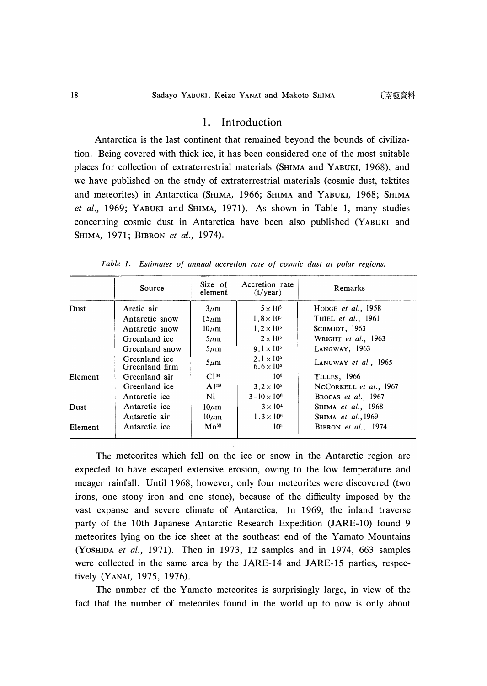# 1. Introduction

Antarctica is the last continent that remained beyond the bounds of civilization. Being covered with thick ice, it has been considered one of the most suitable places for collection of extraterrestrial materials (SHIMA and Y ABUKI, 1968), and we have published on the study of extraterrestrial materials ( cosmic dust, tektites and meteorites) in Antarctica (SHIMA, 1966; SHIMA and YABUKI, 1968; SHIMA *et al.,* 1969; YABUKI and SHIMA, 1971). As shown in Table 1, many studies concerning cosmic dust in Antarctica have been also published (YABUKI and SHIMA, 1971; BIBRON *et al.,* 1974).

|         | Source                          | Size of<br>element | Accretion rate<br>(t/year)                 | Remarks                    |
|---------|---------------------------------|--------------------|--------------------------------------------|----------------------------|
| Dust    | Arctic air                      | $3\mu$ m           | $5 \times 10^5$                            | HODGE et al., $1958$       |
|         | Antarctic snow                  | $15 \mu m$         | $1.8 \times 10^{5}$                        | THIEL et al., 1961         |
|         | Antarctic snow                  | $10 \mu m$         | $1.2 \times 10^{5}$                        | SCBMIDT, 1963              |
|         | Greenland ice                   | $5\mu$ m           | $2 \times 10^5$                            | WRIGHT et al., 1963        |
|         | Greenland snow                  | $5\mu$ m           | $9.1 \times 10^{5}$                        | LANGWAY, 1963              |
|         | Greenland ice<br>Greenland firm | $5 \mu m$          | $2.1 \times 10^{5}$<br>$6.6 \times 10^{5}$ | LANGWAY et al., 1965       |
| Element | Greenland air                   | $C1^{36}$          | 10 <sup>6</sup>                            | TILLES, 1966               |
|         | Greenland ice                   | $A1^{26}$          | $3.2 \times 10^{5}$                        | NCCORKELL et al., 1967     |
|         | Antarctic ice                   | Ni                 | $3 - 10 \times 10^6$                       | BROCAS et al., 1967        |
| Dust    | Antarctic ice                   | $10 \mu m$         | $3 \times 10^4$                            | SHIMA et al., 1968         |
|         | Antarctic air                   | $10 \mu m$         | $1.3 \times 10^{6}$                        | SHIMA et al., 1969         |
| Element | Antarctic ice                   | $Mn^{53}$          | 10 <sup>5</sup>                            | <b>BIBRON</b> et al., 1974 |

*Table 1. Estimates of annual accretion rate of cosmic dust at polar regions.* 

The meteorites which fell on the ice or snow in the Antarctic region are expected to have escaped extensive erosion, owing to the low temperature and meager rainfall. Until 1968, however, only four meteorites were discovered (two irons, one stony iron and one stone), because of the difficulty imposed by the vast expanse and severe climate of Antarctica. In 1969, the inland traverse party of the 10th Japanese Antarctic Research Expedition (JARE-10) found 9 meteorites lying on the ice sheet at the southeast end of the Yamato Mountains (YOSHIDA *et al.,* 1971). Then in 1973, 12 samples and in 1974, 663 samples were collected in the same area by the JARE-14 and JARE-15 parties, respectively (YANAI, 1975, 1976).

The number of the Yamato meteorites is surprisingly large, in view of the fact that the number of meteorites found in the world up to now is only about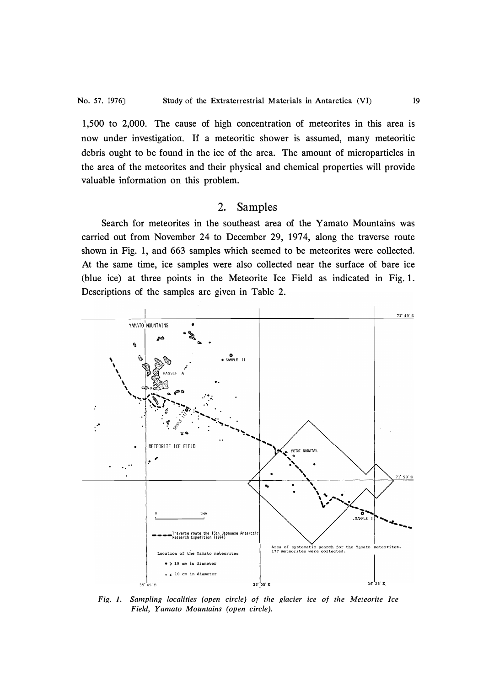1,500 to 2,000. The cause of high concentration of meteorites in this area is now under investigation. If a meteoritic shower is assumed, many meteoritic debris ought to be found in the ice of the area. The amount of microparticles in the area of the meteorites and their physical and chemical properties will provide valuable information on this problem.

### 2. Samples

Search for meteorites in the southeast area of the Yamato Mountains was carried out from November 24 to December 29, 1974, along the traverse route shown in Fig. 1, and 663 samples which seemed to be meteorites were collected. At the same time, ice samples were also collected near the surface of bare ice (blue ice) at three points in the Meteorite Ice Field as indicated in Fig. 1. Descriptions of the samples are given in Table 2.



*Fig. 1. Sampling localities (open circle) of the glacier ice of the Meteorite Ice Field, Yamato Mountains (open circle).*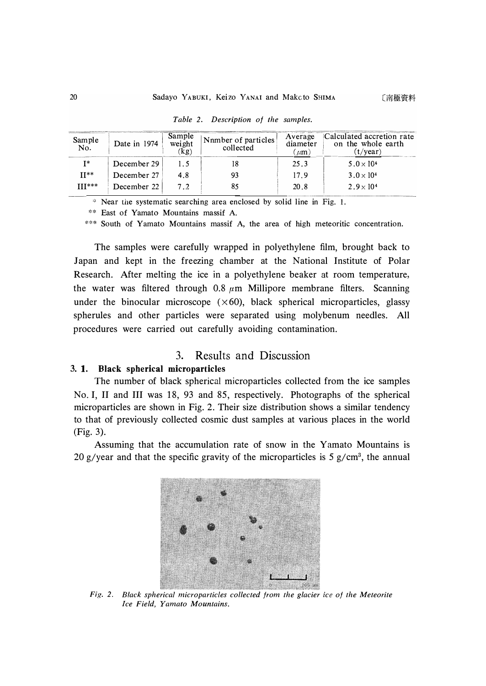| Sample<br>No. | Date in 1974 | Sample<br>weight<br>(kg) | Nnmber of particles<br>collected | Average<br>diameter<br>$(\mu m)$ | Calculated accretion rate<br>on the whole earth<br>$(t/\text{year})$ |
|---------------|--------------|--------------------------|----------------------------------|----------------------------------|----------------------------------------------------------------------|
| $I^*$         | December 29  |                          |                                  | 25.3                             | $5.0 \times 10^{4}$                                                  |
| $II**$        | December 27  | 4.8                      | 93                               | 17.9                             | $3.0 \times 10^{4}$                                                  |
| $III***$      | December 22  | 72                       |                                  | 20.8                             | $2.9 \times 10^{4}$                                                  |

*Table 2. Description of the samples.* 

**,:, Near the systematic searching area enclosed by solid line in Fig. 1.** 

**\* \* East of Yamato Mountains massif A.** 

\*\*\* South of Yamato Mountains massif A, the area of high meteoritic concentration.

The samples were carefully wrapped in polyethylene film, brought back to Japan and kept in the freezing chamber at the National Institute of Polar Research. After melting the ice in a polyethylene beaker at room temperature, the water was filtered through 0.8  $\mu$ m Millipore membrane filters. Scanning under the binocular microscope  $(\times 60)$ , black spherical microparticles, glassy spherules and other particles were separated using molybenum needles. All procedures were carried out carefully avoiding contamination.

# 3. Results and Discussion

### **3. 1. Black spherical microparticles**

The number of black spherical microparticles collected from the ice samples No. I, II and III was 18, 93 and 85, respectively. Photographs of the spherical microparticles are shown in Fig. 2. Their size distribution shows a similar tendency to that of previously collected cosmic dust samples at various places in the world (Fig. 3).

Assuming that the accumulation rate of snow in the Yamato Mountains is 20 g/year and that the specific gravity of the microparticles is 5 g/cm**<sup>3</sup> ,** the annual



*Fig. 2. Black spherical microparticles collected from the glacier ice of the Meteorite Ice Field, Yamato Mountains.*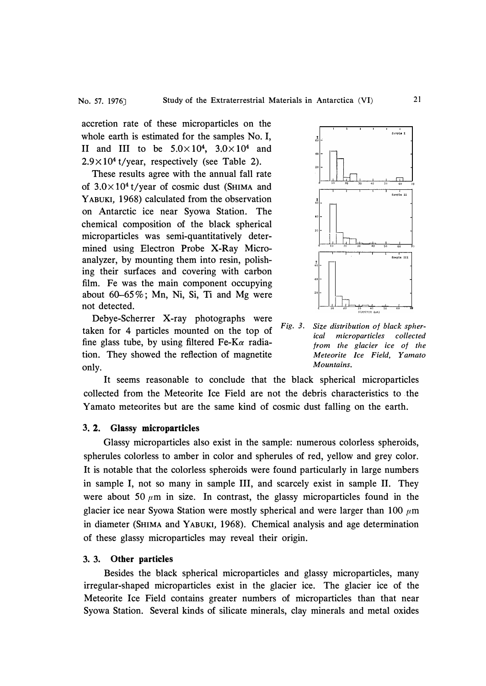accretion rate of these microparticles on the whole earth is estimated for the samples No. I, II and III to be  $5.0 \times 10^4$ ,  $3.0 \times 10^4$  and  $2.9 \times 10^4$  t/year, respectively (see Table 2).

These results agree with the annual fall rate of  $3.0 \times 10^4$  t/year of cosmic dust (SHIMA and Y ABUKI, 1968) calculated from the observation on Antarctic ice near Syowa Station. The chemical composition of the black spherical microparticles was semi-quantitatively determined using Electron Probe X-Ray Microanalyzer, by mounting them into resin, polishing their surfaces and covering with carbon film. Fe was the main component occupying about  $60-65\%$ ; Mn, Ni, Si, Ti and Mg were not detected.

Debye-Scherrer X-ray photographs were taken for 4 particles mounted on the top of *Fig. 3·*  fine glass tube, by using filtered  $Fe-K\alpha$  radiation. They showed the reflection of magnetite only.



*Size distribution of black spherical microparticles collected from the glacier ice of the Meteorite Ice Field, Yamato Mountains.* 

It seems reasonable to conclude that the black spherical microparticles collected from the Meteorite Ice Field are not the debris characteristics to . the Yamato meteorites but are the same kind of cosmic dust falling on the earth.

#### **3. 2. Glassy microparticles**

Glassy microparticles also exist in the sample: numerous colorless spheroids, spherules colorless to amber in color and spherules of red, yellow and grey color. It is notable that the colorless spheroids were found particularly in large numbers in sample I, not so many in sample III, and scarcely exist in sample II. They were about 50  $\mu$ m in size. In contrast, the glassy microparticles found in the glacier ice near Syowa Station were mostly spherical and were larger than 100 *µm*  in diameter (SHIMA and Y ABUKI, 1968). Chemical analysis and age determination of these glassy microparticles may reveal their origin.

#### **3. 3. Other particles**

Besides the black spherical microparticles and glassy microparticles, many irregular-shaped microparticles exist in the glacier ice. The glacier ice of the Meteorite Ice Field contains greater numbers of microparticles than that near Syowa Station. Several kinds of silicate minerals, clay minerals and metal oxides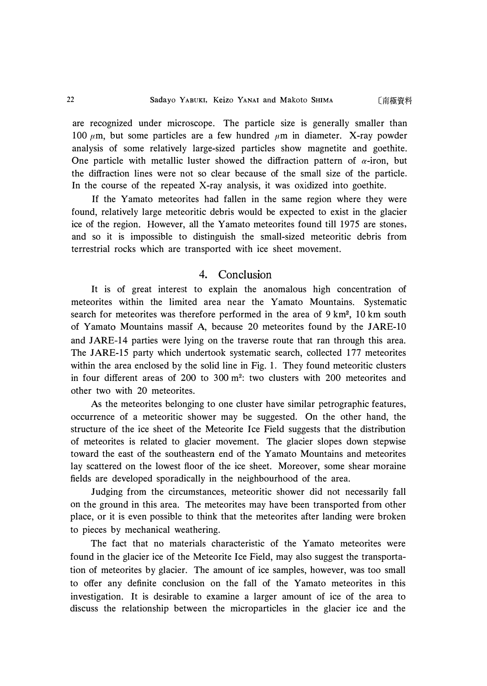〔南極資料

are recognized under microscope. The particle size is generally smaller than 100  $\mu$ m, but some particles are a few hundred  $\mu$ m in diameter. X-ray powder analysis of some relatively large-sized particles show magnetite and goethite. One particle with metallic luster showed the diffraction pattern of  $\alpha$ -iron, but the diffraction lines were not so clear because of the small size of the particle. In the course of the repeated X-ray analysis, it was oxidized into goethite.

If the Yamato meteorites had fallen in the same region where they were found, relatively large meteoritic debris would be expected to exist in the glacier ice of the region. However, all the Yamato meteorites found till 1975 are stones, and so it is impossible to distinguish the small-sized meteoritic debris from terrestrial rocks which are transported with ice sheet movement.

## 4. Conclusion

It is of great interest to explain the anomalous high concentration of meteorites within the limited area near the Yamato Mountains. Systematic search for meteorites was therefore performed in the area of  $9 \text{ km}^2$ ,  $10 \text{ km}$  south of Yamato Mountains massif A, because 20 meteorites found by the JARE-10 and JARE-14 parties were lying on the traverse route that ran through this area. The JARE-15 party which undertook systematic search, collected 177 meteorites within the area enclosed by the solid line in Fig. 1. They found meteoritic clusters in four different areas of 200 to 300 $m<sup>2</sup>$ : two clusters with 200 meteorites and other two with 20 meteorites.

As the meteorites belonging to one cluster have similar petrographic features, occurrence of a meteoritic shower may be suggested. On the other hand, the structure of the ice sheet of the Meteorite Ice Field suggests that the distribution of meteorites is related to glacier movement. The glacier slopes down stepwise toward the east of the southeastern end of the Yamato Mountains and meteorites lay scattered on the lowest floor of the ice sheet. Moreover, some shear moraine fields are developed sporadically in the neighbourhood of the area.

Judging from the circumstances, meteoritic shower did not necessarily fall on the ground in this area. The meteorites may have been transported from other place, or it is even possible to think that the meteorites after landing were broken to pieces by mechanical weathering.

The fact that no materials characteristic of the Yamato meteorites were found in the glacier ice of the Meteorite Ice Field, may also suggest the transportation of meteorites by glacier. The amount of ice samples, however, was too small to offer any definite conclusion on the fall of the Yamato meteorites in this investigation. It is desirable to examine a larger amount of ice of the area to discuss the relationship between the microparticles in the glacier ice and the